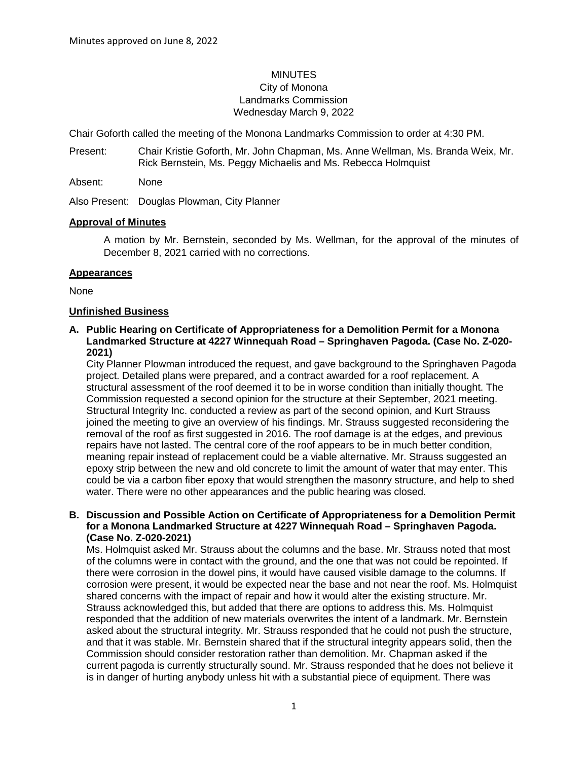# **MINUTES** City of Monona Landmarks Commission Wednesday March 9, 2022

Chair Goforth called the meeting of the Monona Landmarks Commission to order at 4:30 PM.

Present: Chair Kristie Goforth, Mr. John Chapman, Ms. Anne Wellman, Ms. Branda Weix, Mr. Rick Bernstein, Ms. Peggy Michaelis and Ms. Rebecca Holmquist

Absent: None

Also Present: Douglas Plowman, City Planner

#### **Approval of Minutes**

A motion by Mr. Bernstein, seconded by Ms. Wellman, for the approval of the minutes of December 8, 2021 carried with no corrections.

#### **Appearances**

None

#### **Unfinished Business**

#### **A. Public Hearing on Certificate of Appropriateness for a Demolition Permit for a Monona Landmarked Structure at 4227 Winnequah Road – Springhaven Pagoda. (Case No. Z-020- 2021)**

City Planner Plowman introduced the request, and gave background to the Springhaven Pagoda project. Detailed plans were prepared, and a contract awarded for a roof replacement. A structural assessment of the roof deemed it to be in worse condition than initially thought. The Commission requested a second opinion for the structure at their September, 2021 meeting. Structural Integrity Inc. conducted a review as part of the second opinion, and Kurt Strauss joined the meeting to give an overview of his findings. Mr. Strauss suggested reconsidering the removal of the roof as first suggested in 2016. The roof damage is at the edges, and previous repairs have not lasted. The central core of the roof appears to be in much better condition, meaning repair instead of replacement could be a viable alternative. Mr. Strauss suggested an epoxy strip between the new and old concrete to limit the amount of water that may enter. This could be via a carbon fiber epoxy that would strengthen the masonry structure, and help to shed water. There were no other appearances and the public hearing was closed.

#### **B. Discussion and Possible Action on Certificate of Appropriateness for a Demolition Permit for a Monona Landmarked Structure at 4227 Winnequah Road – Springhaven Pagoda. (Case No. Z-020-2021)**

Ms. Holmquist asked Mr. Strauss about the columns and the base. Mr. Strauss noted that most of the columns were in contact with the ground, and the one that was not could be repointed. If there were corrosion in the dowel pins, it would have caused visible damage to the columns. If corrosion were present, it would be expected near the base and not near the roof. Ms. Holmquist shared concerns with the impact of repair and how it would alter the existing structure. Mr. Strauss acknowledged this, but added that there are options to address this. Ms. Holmquist responded that the addition of new materials overwrites the intent of a landmark. Mr. Bernstein asked about the structural integrity. Mr. Strauss responded that he could not push the structure, and that it was stable. Mr. Bernstein shared that if the structural integrity appears solid, then the Commission should consider restoration rather than demolition. Mr. Chapman asked if the current pagoda is currently structurally sound. Mr. Strauss responded that he does not believe it is in danger of hurting anybody unless hit with a substantial piece of equipment. There was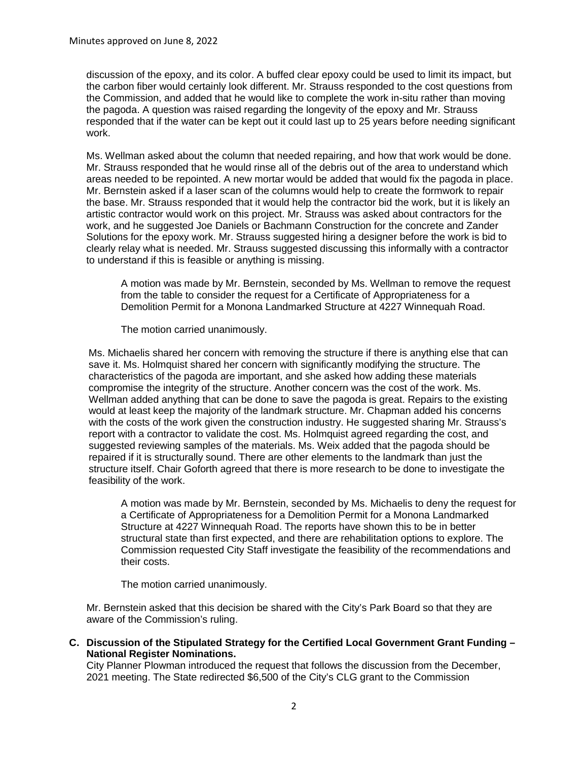discussion of the epoxy, and its color. A buffed clear epoxy could be used to limit its impact, but the carbon fiber would certainly look different. Mr. Strauss responded to the cost questions from the Commission, and added that he would like to complete the work in-situ rather than moving the pagoda. A question was raised regarding the longevity of the epoxy and Mr. Strauss responded that if the water can be kept out it could last up to 25 years before needing significant work.

Ms. Wellman asked about the column that needed repairing, and how that work would be done. Mr. Strauss responded that he would rinse all of the debris out of the area to understand which areas needed to be repointed. A new mortar would be added that would fix the pagoda in place. Mr. Bernstein asked if a laser scan of the columns would help to create the formwork to repair the base. Mr. Strauss responded that it would help the contractor bid the work, but it is likely an artistic contractor would work on this project. Mr. Strauss was asked about contractors for the work, and he suggested Joe Daniels or Bachmann Construction for the concrete and Zander Solutions for the epoxy work. Mr. Strauss suggested hiring a designer before the work is bid to clearly relay what is needed. Mr. Strauss suggested discussing this informally with a contractor to understand if this is feasible or anything is missing.

A motion was made by Mr. Bernstein, seconded by Ms. Wellman to remove the request from the table to consider the request for a Certificate of Appropriateness for a Demolition Permit for a Monona Landmarked Structure at 4227 Winnequah Road.

The motion carried unanimously.

Ms. Michaelis shared her concern with removing the structure if there is anything else that can save it. Ms. Holmquist shared her concern with significantly modifying the structure. The characteristics of the pagoda are important, and she asked how adding these materials compromise the integrity of the structure. Another concern was the cost of the work. Ms. Wellman added anything that can be done to save the pagoda is great. Repairs to the existing would at least keep the majority of the landmark structure. Mr. Chapman added his concerns with the costs of the work given the construction industry. He suggested sharing Mr. Strauss's report with a contractor to validate the cost. Ms. Holmquist agreed regarding the cost, and suggested reviewing samples of the materials. Ms. Weix added that the pagoda should be repaired if it is structurally sound. There are other elements to the landmark than just the structure itself. Chair Goforth agreed that there is more research to be done to investigate the feasibility of the work.

A motion was made by Mr. Bernstein, seconded by Ms. Michaelis to deny the request for a Certificate of Appropriateness for a Demolition Permit for a Monona Landmarked Structure at 4227 Winnequah Road. The reports have shown this to be in better structural state than first expected, and there are rehabilitation options to explore. The Commission requested City Staff investigate the feasibility of the recommendations and their costs.

The motion carried unanimously.

Mr. Bernstein asked that this decision be shared with the City's Park Board so that they are aware of the Commission's ruling.

**C. Discussion of the Stipulated Strategy for the Certified Local Government Grant Funding – National Register Nominations.**

City Planner Plowman introduced the request that follows the discussion from the December, 2021 meeting. The State redirected \$6,500 of the City's CLG grant to the Commission